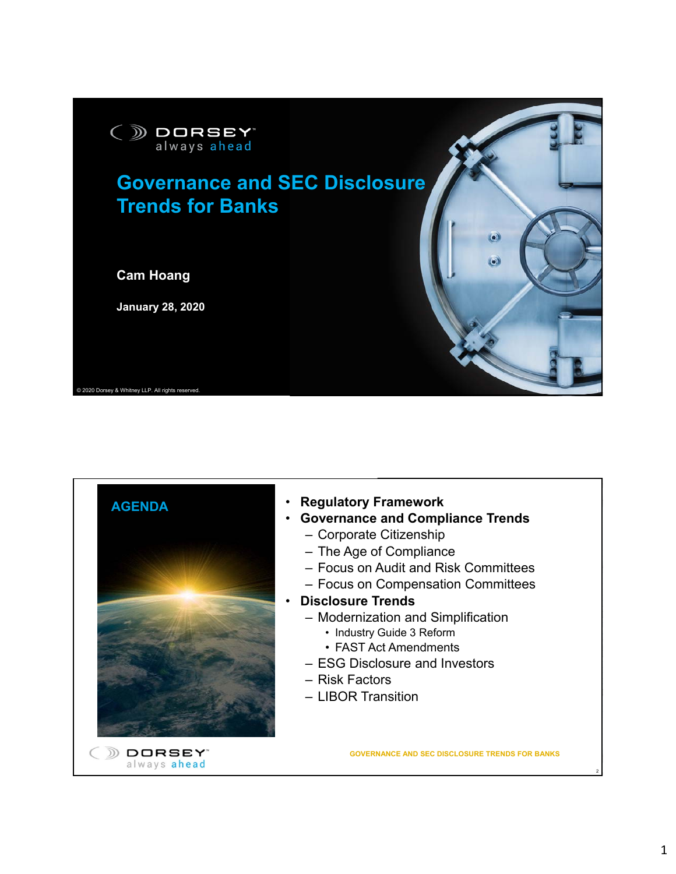



- **Governance and Compliance Trends**
	- Corporate Citizenship
	- The Age of Compliance
	- Focus on Audit and Risk Committees
	- Focus on Compensation Committees
- **Disclosure Trends**
	- Modernization and Simplification
		- Industry Guide 3 Reform
		- FAST Act Amendments
	- ESG Disclosure and Investors
	- Risk Factors
	- LIBOR Transition

**GOVERNANCE AND SEC DISCLOSURE TRENDS FOR BANKS**

2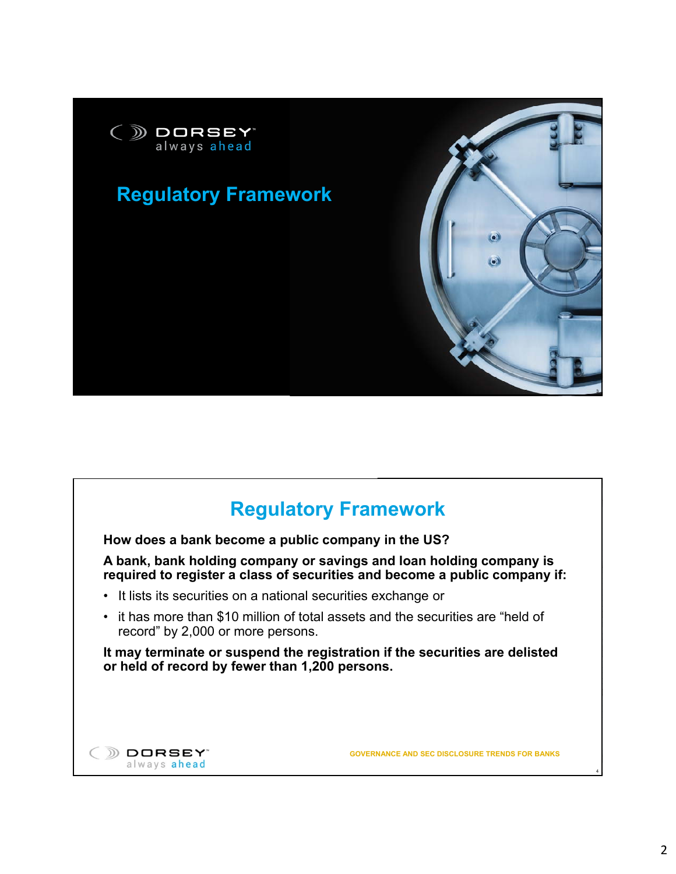

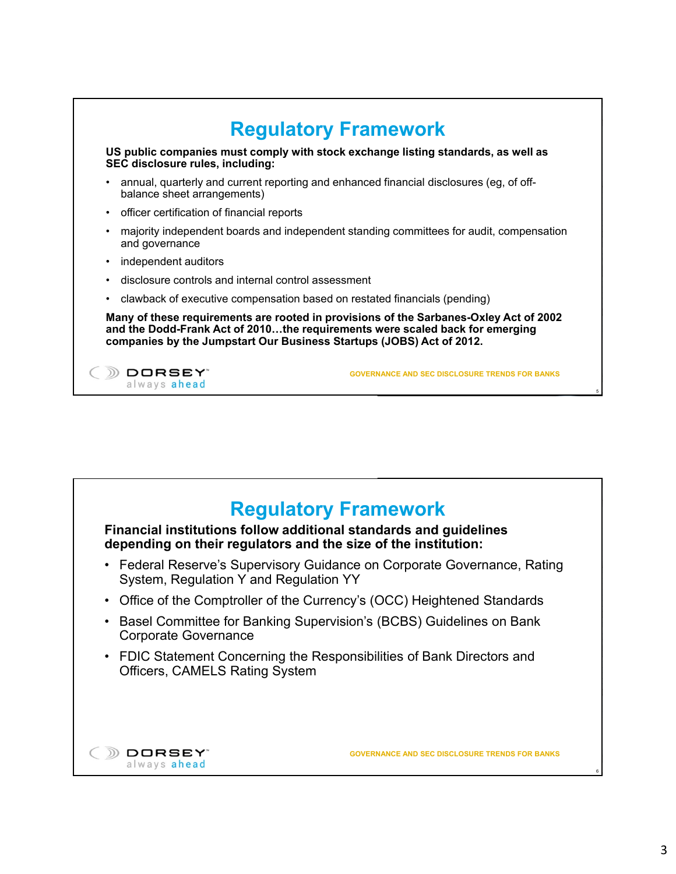

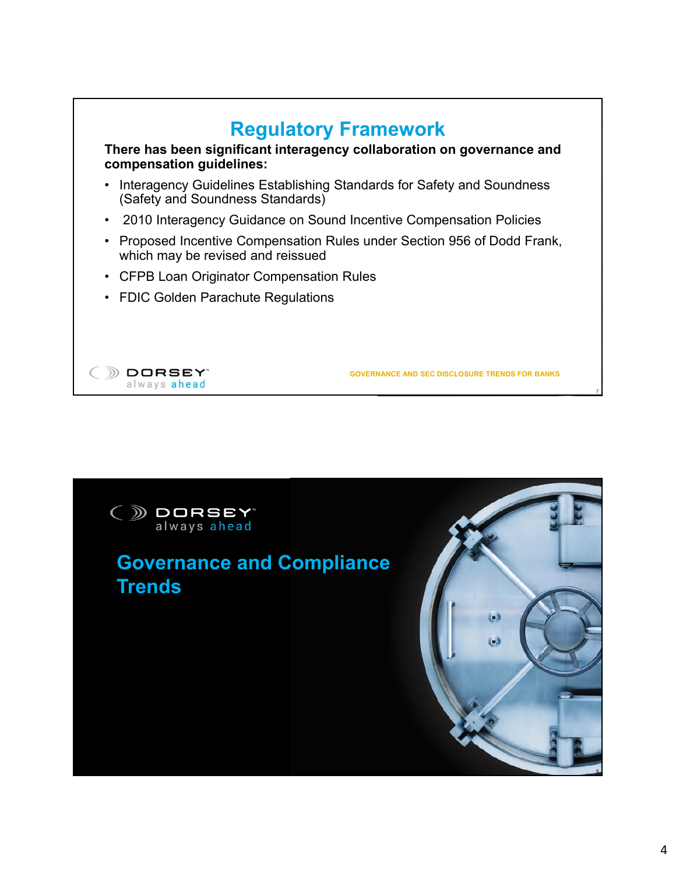

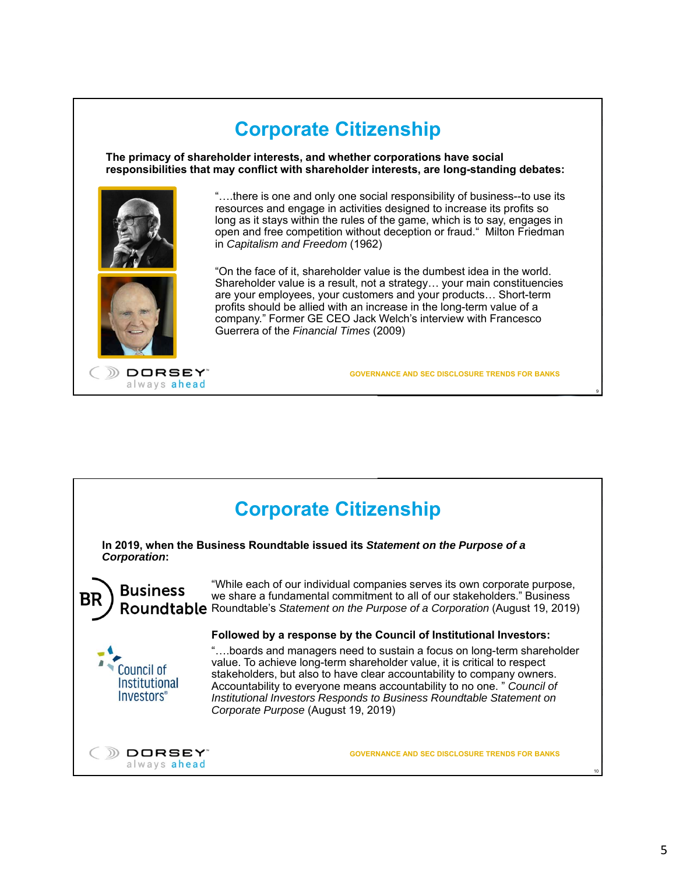

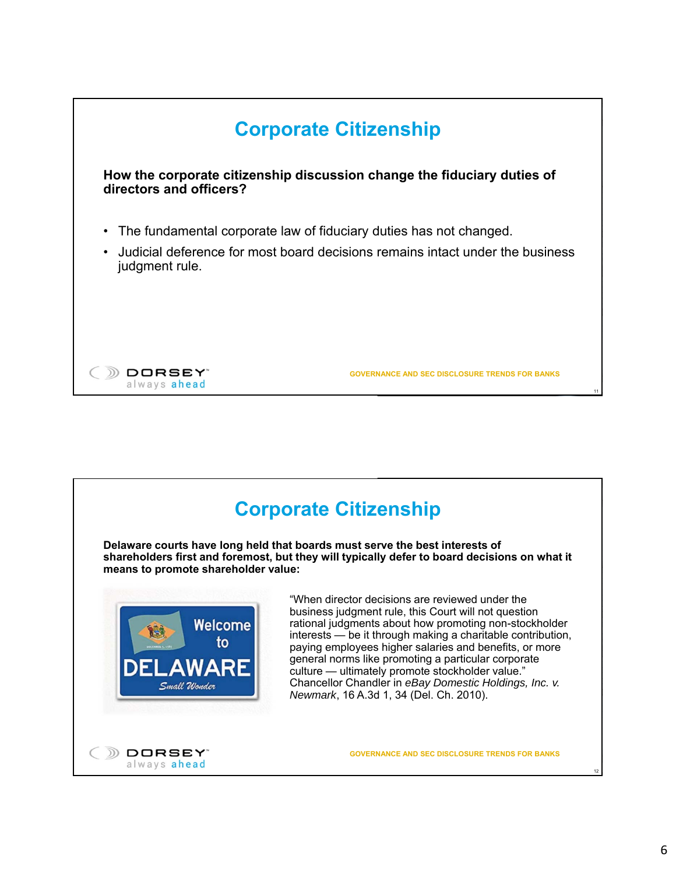

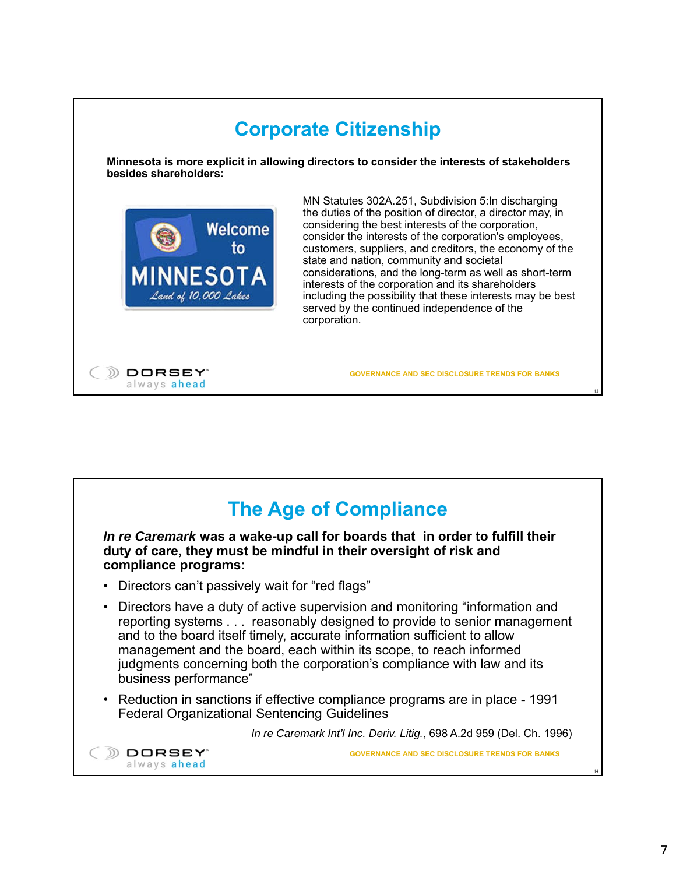

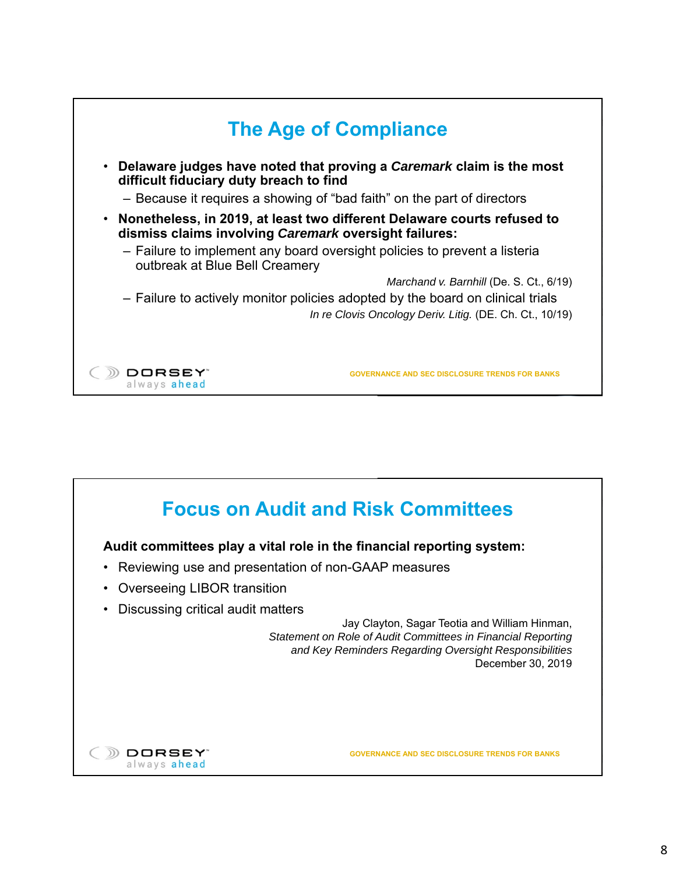

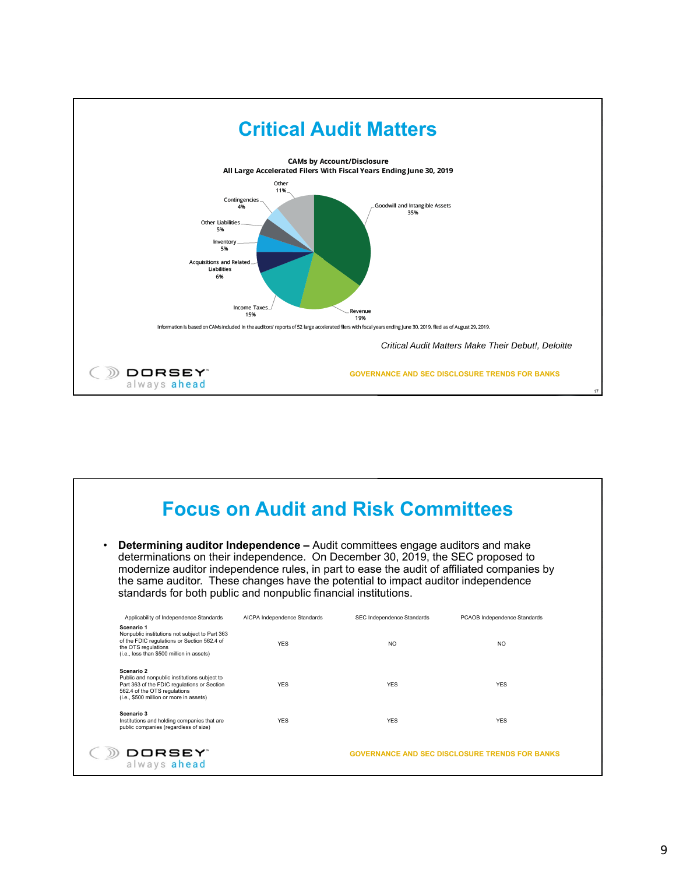

| ٠                                                                                                                                                                                    | <b>Focus on Audit and Risk Committees</b><br><b>Determining auditor Independence – Audit committees engage auditors and make</b><br>determinations on their independence. On December 30, 2019, the SEC proposed to<br>modernize auditor independence rules, in part to ease the audit of affiliated companies by<br>the same auditor. These changes have the potential to impact auditor independence<br>standards for both public and nonpublic financial institutions. |                            |                                                       |  |  |
|--------------------------------------------------------------------------------------------------------------------------------------------------------------------------------------|---------------------------------------------------------------------------------------------------------------------------------------------------------------------------------------------------------------------------------------------------------------------------------------------------------------------------------------------------------------------------------------------------------------------------------------------------------------------------|----------------------------|-------------------------------------------------------|--|--|
| Applicability of Independence Standards                                                                                                                                              | AICPA Independence Standards                                                                                                                                                                                                                                                                                                                                                                                                                                              | SEC Independence Standards | PCAOB Independence Standards                          |  |  |
| Scenario 1<br>Nonpublic institutions not subject to Part 363<br>of the FDIC regulations or Section 562.4 of<br>the OTS regulations<br>(i.e., less than \$500 million in assets)      | <b>YFS</b>                                                                                                                                                                                                                                                                                                                                                                                                                                                                | NO.                        | NO.                                                   |  |  |
| Scenario 2<br>Public and nonpublic institutions subject to<br>Part 363 of the FDIC regulations or Section<br>562.4 of the OTS regulations<br>(i.e., \$500 million or more in assets) | <b>YFS</b>                                                                                                                                                                                                                                                                                                                                                                                                                                                                | <b>YFS</b>                 | <b>YES</b>                                            |  |  |
| Scenario 3<br>Institutions and holding companies that are<br>public companies (regardless of size)                                                                                   | <b>YFS</b>                                                                                                                                                                                                                                                                                                                                                                                                                                                                | <b>YES</b>                 | <b>YES</b>                                            |  |  |
| DORSEY"<br>always ahead                                                                                                                                                              |                                                                                                                                                                                                                                                                                                                                                                                                                                                                           |                            | <b>GOVERNANCE AND SEC DISCLOSURE TRENDS FOR BANKS</b> |  |  |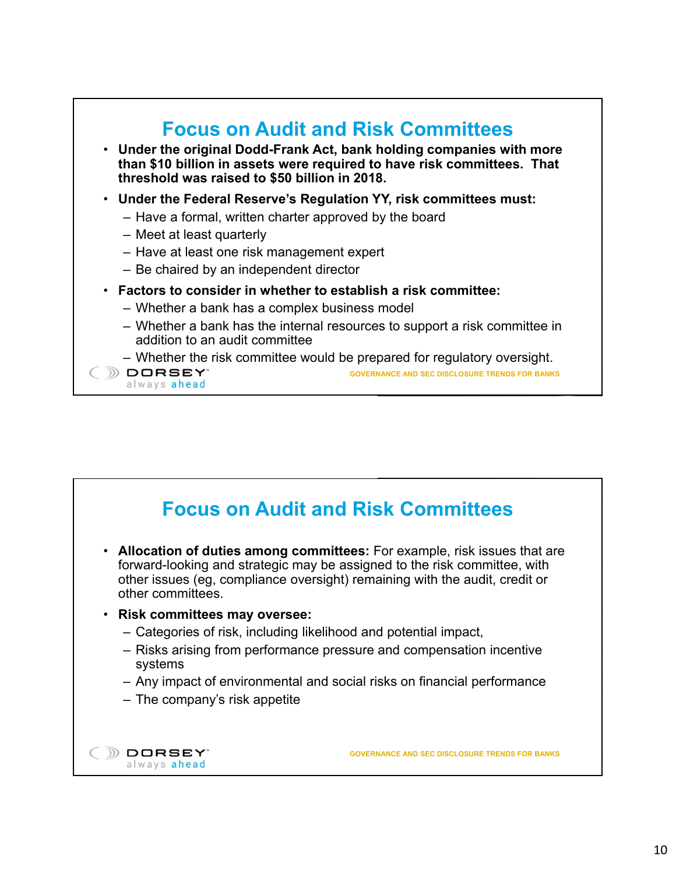

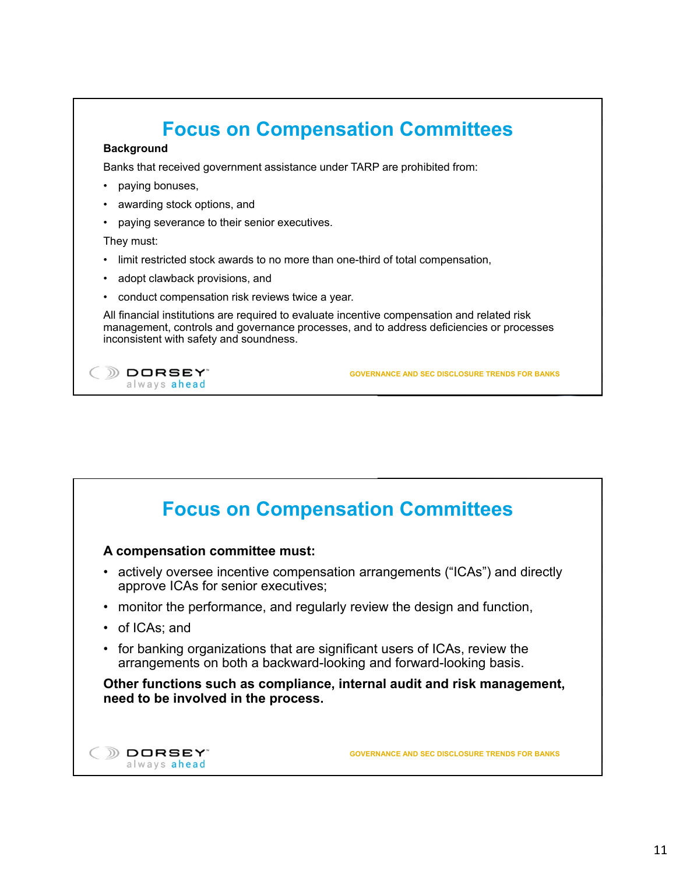## **Focus on Compensation Committees Background** Banks that received government assistance under TARP are prohibited from: • paying bonuses, awarding stock options, and • paying severance to their senior executives. They must: limit restricted stock awards to no more than one-third of total compensation, adopt clawback provisions, and • conduct compensation risk reviews twice a year. All financial institutions are required to evaluate incentive compensation and related risk management, controls and governance processes, and to address deficiencies or processes inconsistent with safety and soundness. DORSEY® **GOVERNANCE AND SEC DISCLOSURE TRENDS FOR BANKS** always ahead

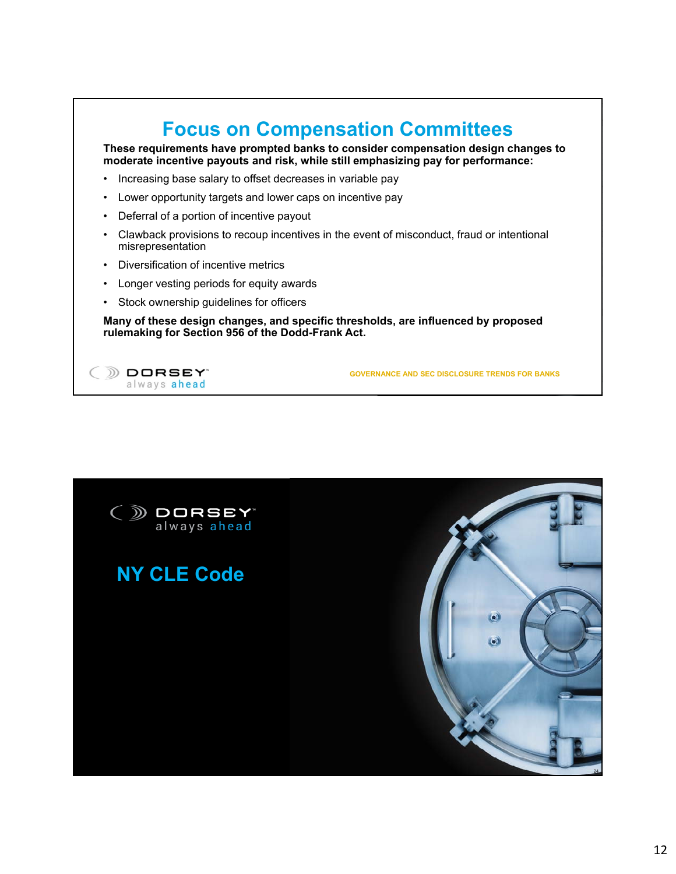## **Focus on Compensation Committees These requirements have prompted banks to consider compensation design changes to moderate incentive payouts and risk, while still emphasizing pay for performance:** • Increasing base salary to offset decreases in variable pay • Lower opportunity targets and lower caps on incentive pay • Deferral of a portion of incentive payout • Clawback provisions to recoup incentives in the event of misconduct, fraud or intentional misrepresentation • Diversification of incentive metrics • Longer vesting periods for equity awards • Stock ownership guidelines for officers **Many of these design changes, and specific thresholds, are influenced by proposed rulemaking for Section 956 of the Dodd-Frank Act.** DORSEY **GOVERNANCE AND SEC DISCLOSURE TRENDS FOR BANKS** always ahead

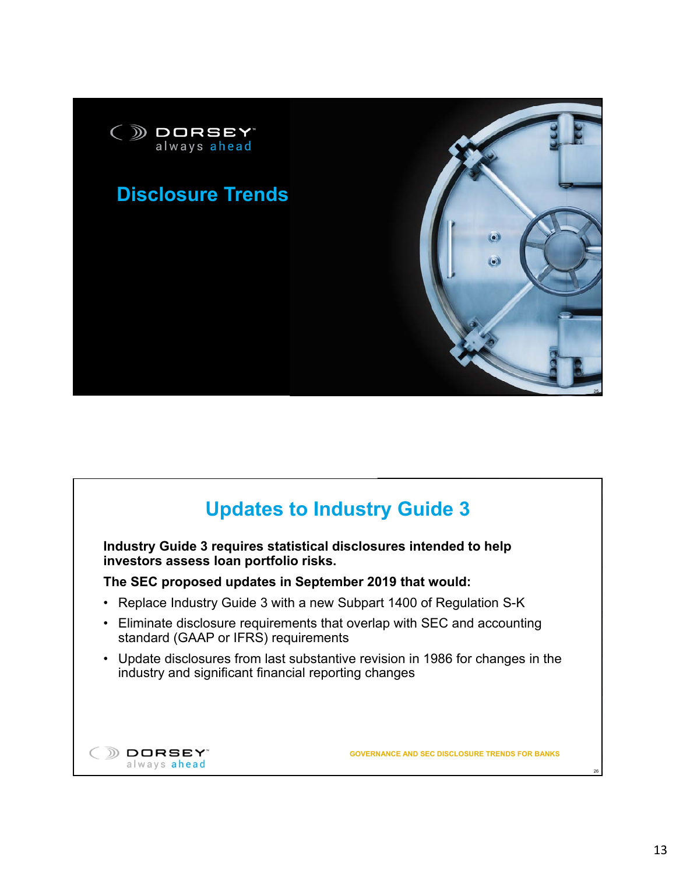

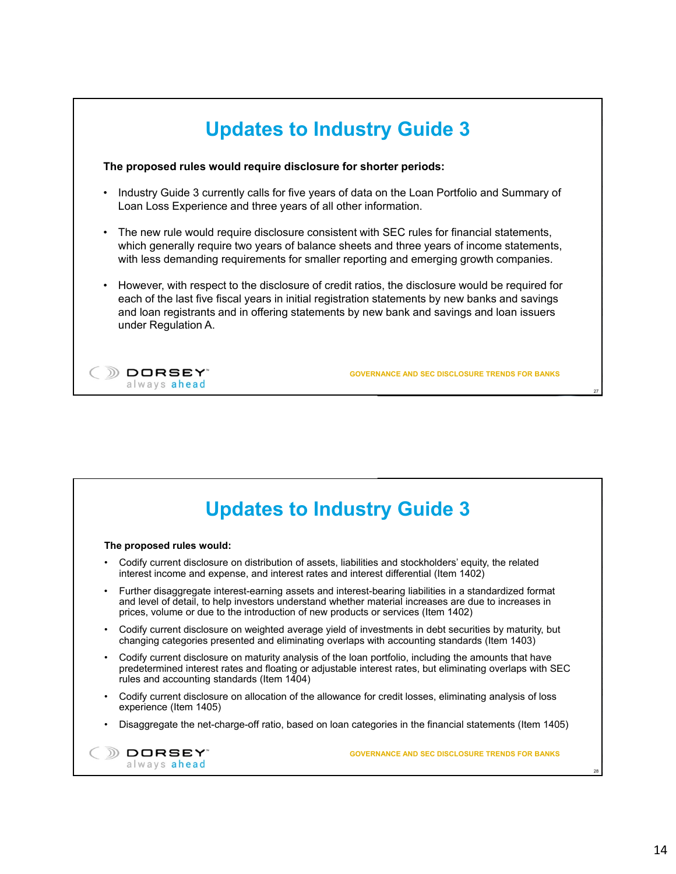

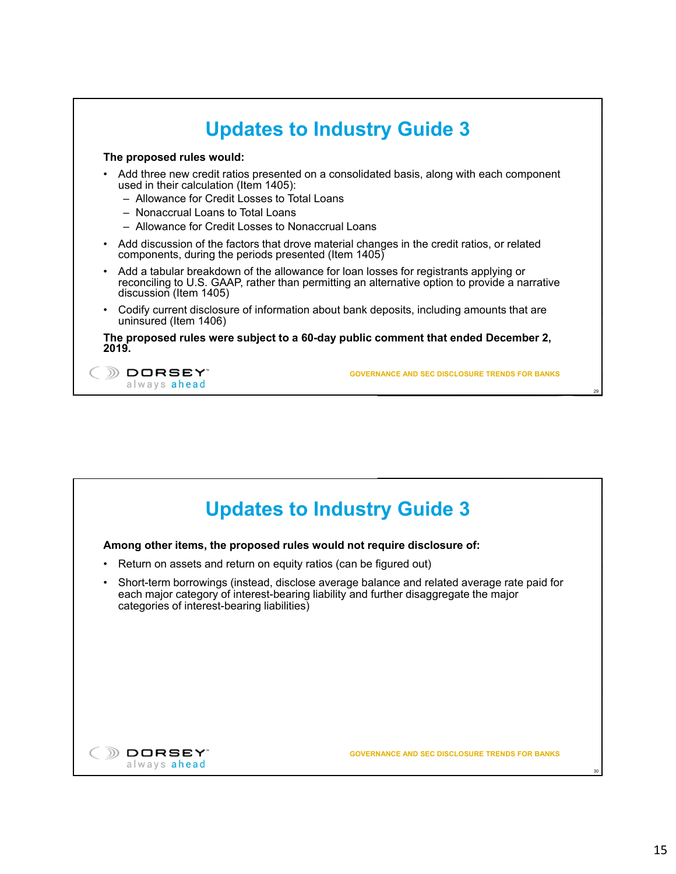

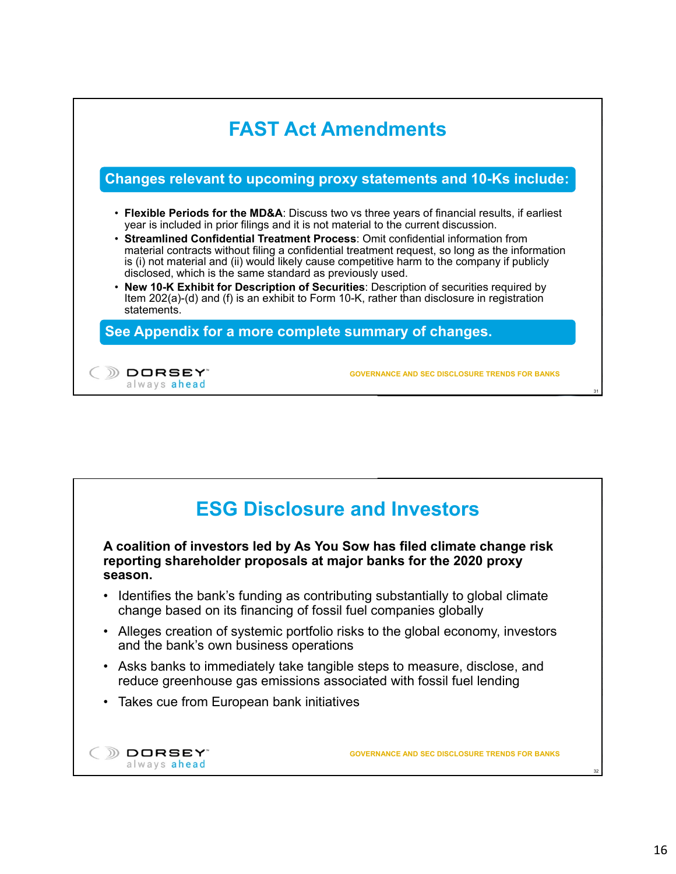

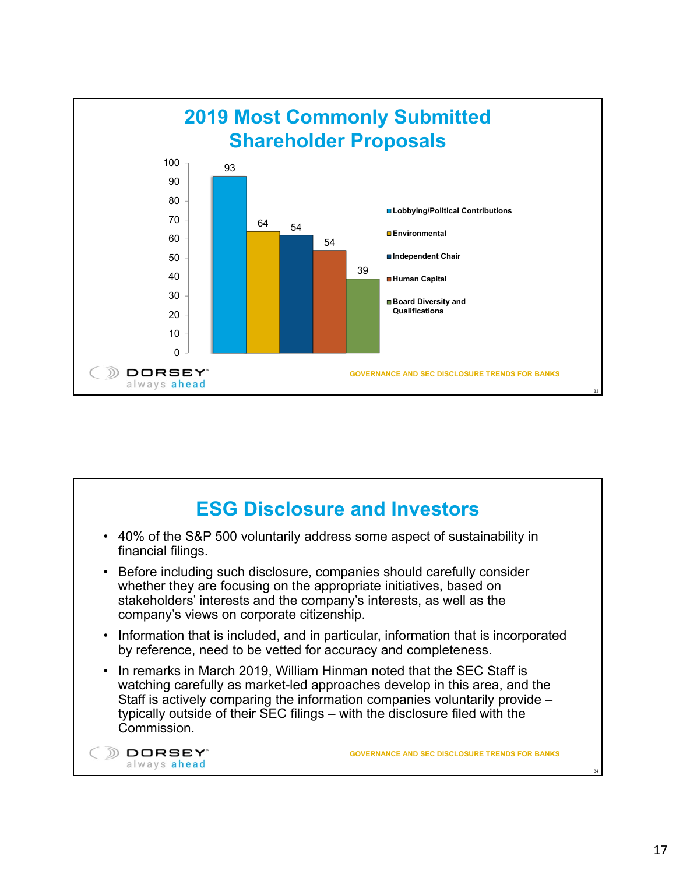

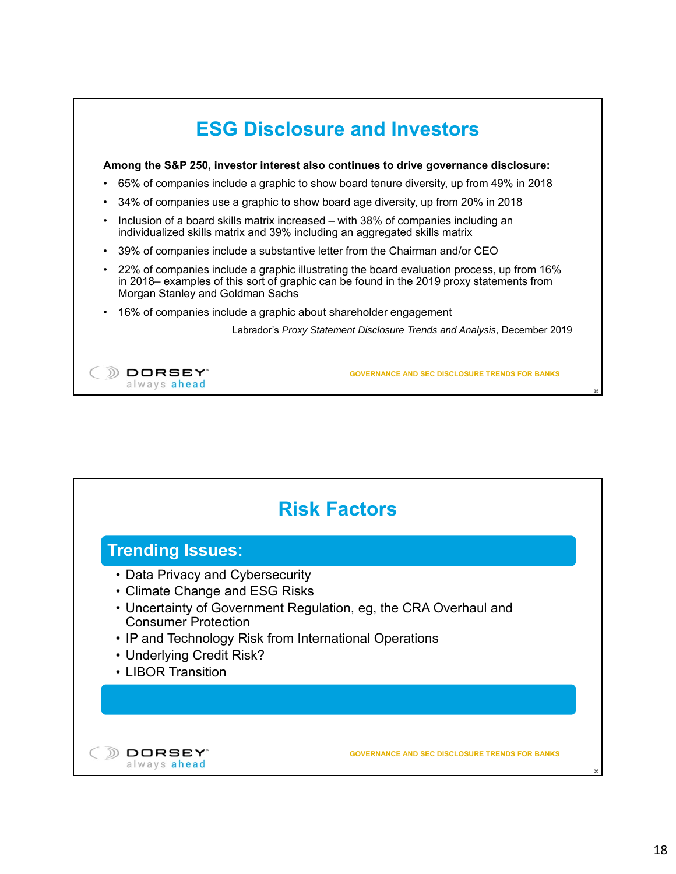|           | Among the S&P 250, investor interest also continues to drive governance disclosure:                                                                                                                                       |
|-----------|---------------------------------------------------------------------------------------------------------------------------------------------------------------------------------------------------------------------------|
| $\bullet$ | 65% of companies include a graphic to show board tenure diversity, up from 49% in 2018                                                                                                                                    |
| $\bullet$ | 34% of companies use a graphic to show board age diversity, up from 20% in 2018                                                                                                                                           |
| $\bullet$ | Inclusion of a board skills matrix increased - with 38% of companies including an<br>individualized skills matrix and 39% including an aggregated skills matrix                                                           |
| $\bullet$ | 39% of companies include a substantive letter from the Chairman and/or CEO                                                                                                                                                |
| $\bullet$ | 22% of companies include a graphic illustrating the board evaluation process, up from 16%<br>in 2018– examples of this sort of graphic can be found in the 2019 proxy statements from<br>Morgan Stanley and Goldman Sachs |
| $\bullet$ | 16% of companies include a graphic about shareholder engagement                                                                                                                                                           |
|           | Labrador's Proxy Statement Disclosure Trends and Analysis, December 2019                                                                                                                                                  |
|           |                                                                                                                                                                                                                           |
|           | JRSEY"<br><b>GOVERNANCE AND SEC DISCLOSURE TRENDS FOR BANKS</b>                                                                                                                                                           |

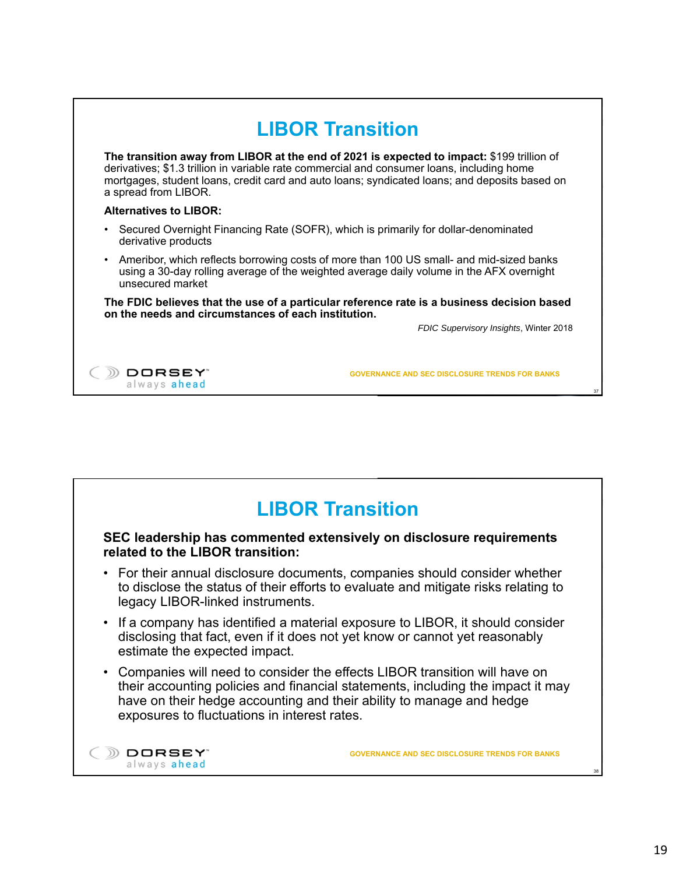|                                                                                                                    | <b>LIBOR Transition</b>                                                                                                                                                                     |
|--------------------------------------------------------------------------------------------------------------------|---------------------------------------------------------------------------------------------------------------------------------------------------------------------------------------------|
| derivatives; \$1.3 trillion in variable rate commercial and consumer loans, including home<br>a spread from LIBOR. | The transition away from LIBOR at the end of 2021 is expected to impact: \$199 trillion of<br>mortgages, student loans, credit card and auto loans; syndicated loans; and deposits based on |
| <b>Alternatives to LIBOR:</b>                                                                                      |                                                                                                                                                                                             |
| Secured Overnight Financing Rate (SOFR), which is primarily for dollar-denominated<br>derivative products          |                                                                                                                                                                                             |
| unsecured market                                                                                                   | Ameribor, which reflects borrowing costs of more than 100 US small- and mid-sized banks<br>using a 30-day rolling average of the weighted average daily volume in the AFX overnight         |
| on the needs and circumstances of each institution.                                                                | The FDIC believes that the use of a particular reference rate is a business decision based                                                                                                  |
|                                                                                                                    | FDIC Supervisory Insights, Winter 2018                                                                                                                                                      |
|                                                                                                                    |                                                                                                                                                                                             |
| DRSEY"<br>always ahead                                                                                             | <b>GOVERNANCE AND SEC DISCLOSURE TRENDS FOR BANKS</b><br>37                                                                                                                                 |

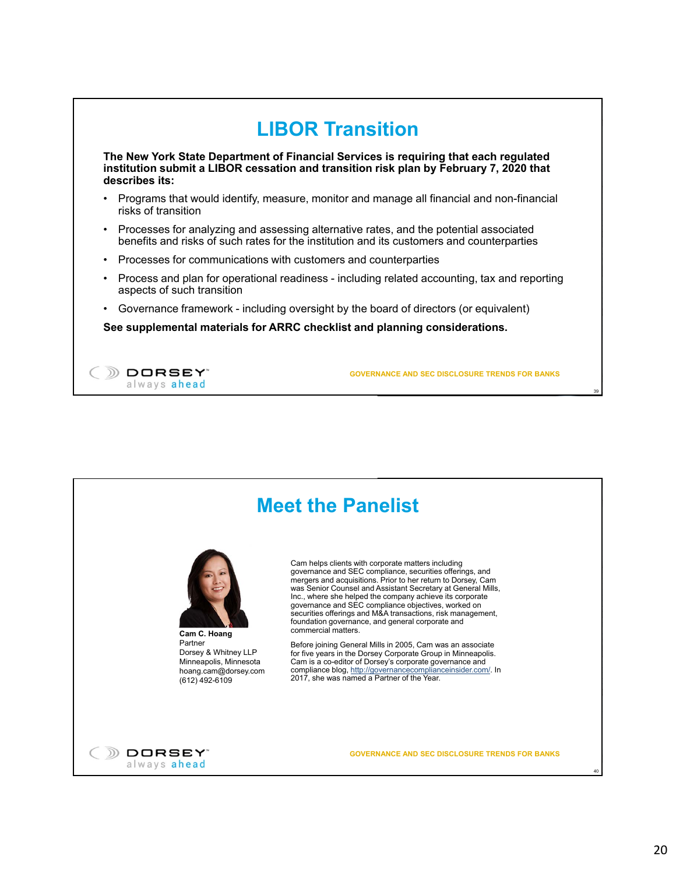

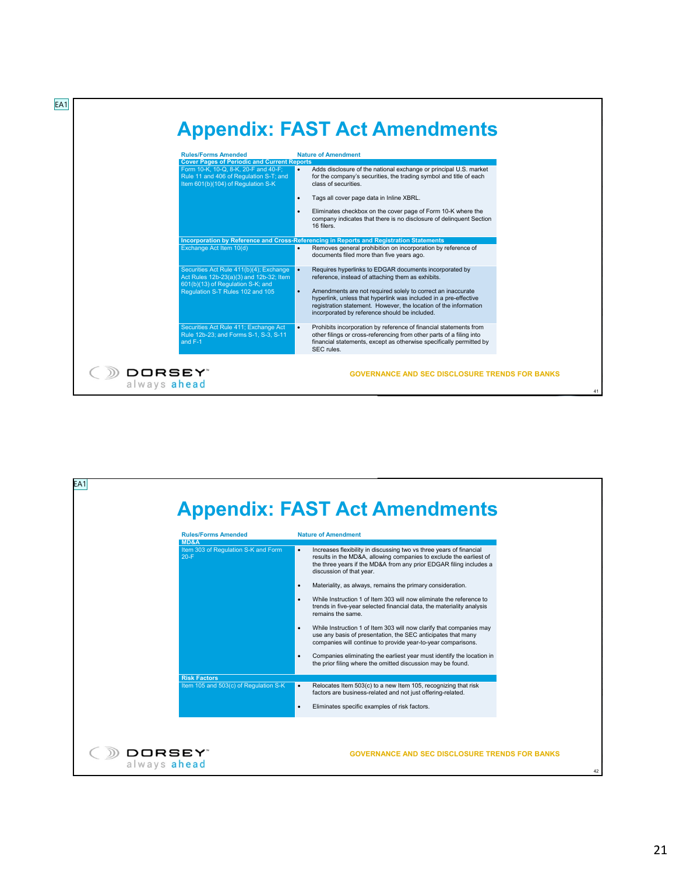| <b>Rules/Forms Amended</b><br><b>Cover Pages of Periodic and Current Reports</b>                                     |           | <b>Nature of Amendment</b>                                                                                                                                                                                                                           |
|----------------------------------------------------------------------------------------------------------------------|-----------|------------------------------------------------------------------------------------------------------------------------------------------------------------------------------------------------------------------------------------------------------|
| Form 10-K, 10-Q, 8-K, 20-F and 40-F;<br>Rule 11 and 406 of Regulation S-T; and<br>Item 601(b)(104) of Regulation S-K |           | Adds disclosure of the national exchange or principal U.S. market<br>for the company's securities, the trading symbol and title of each<br>class of securities.                                                                                      |
|                                                                                                                      | $\bullet$ | Tags all cover page data in Inline XBRL.                                                                                                                                                                                                             |
|                                                                                                                      |           | Eliminates checkbox on the cover page of Form 10-K where the<br>company indicates that there is no disclosure of delinquent Section<br>16 filers.                                                                                                    |
|                                                                                                                      |           | Incorporation by Reference and Cross-Referencing in Reports and Registration Statements                                                                                                                                                              |
| Exchange Act Item 10(d)                                                                                              |           | Removes general prohibition on incorporation by reference of<br>documents filed more than five years ago.                                                                                                                                            |
| Securities Act Rule 411(b)(4); Exchange<br>Act Rules 12b-23(a)(3) and 12b-32; Item                                   | ı.        | Requires hyperlinks to EDGAR documents incorporated by<br>reference, instead of attaching them as exhibits.                                                                                                                                          |
| 601(b)(13) of Regulation S-K; and                                                                                    |           |                                                                                                                                                                                                                                                      |
| Regulation S-T Rules 102 and 105                                                                                     | $\bullet$ | Amendments are not required solely to correct an inaccurate<br>hyperlink, unless that hyperlink was included in a pre-effective<br>registration statement. However, the location of the information<br>incorporated by reference should be included. |
| Securities Act Rule 411; Exchange Act<br>Rule 12b-23; and Forms S-1, S-3, S-11<br>and F-1                            |           | Prohibits incorporation by reference of financial statements from<br>other filings or cross-referencing from other parts of a filing into<br>financial statements, except as otherwise specifically permitted by                                     |

| <b>Rules/Forms Amended</b>                            | <b>Appendix: FAST Act Amendments</b><br><b>Nature of Amendment</b>                                                                                                                                                                                                                                                                                                                                                                                                                                                                                                                                                                                                                                                                                                                                                                         |
|-------------------------------------------------------|--------------------------------------------------------------------------------------------------------------------------------------------------------------------------------------------------------------------------------------------------------------------------------------------------------------------------------------------------------------------------------------------------------------------------------------------------------------------------------------------------------------------------------------------------------------------------------------------------------------------------------------------------------------------------------------------------------------------------------------------------------------------------------------------------------------------------------------------|
| MD&A<br>Item 303 of Regulation S-K and Form<br>$20-F$ | Increases flexibility in discussing two vs three years of financial<br>results in the MD&A, allowing companies to exclude the earliest of<br>the three years if the MD&A from any prior EDGAR filing includes a<br>discussion of that year.<br>Materiality, as always, remains the primary consideration.<br>While Instruction 1 of Item 303 will now eliminate the reference to<br>trends in five-year selected financial data, the materiality analysis<br>remains the same.<br>While Instruction 1 of Item 303 will now clarify that companies may<br>$\bullet$<br>use any basis of presentation, the SEC anticipates that many<br>companies will continue to provide year-to-year comparisons.<br>Companies eliminating the earliest year must identify the location in<br>the prior filing where the omitted discussion may be found. |
| <b>Risk Factors</b>                                   |                                                                                                                                                                                                                                                                                                                                                                                                                                                                                                                                                                                                                                                                                                                                                                                                                                            |
| Item 105 and 503(c) of Regulation S-K                 | Relocates Item 503(c) to a new Item 105, recognizing that risk<br>$\bullet$<br>factors are business-related and not just offering-related.                                                                                                                                                                                                                                                                                                                                                                                                                                                                                                                                                                                                                                                                                                 |
|                                                       | Eliminates specific examples of risk factors.                                                                                                                                                                                                                                                                                                                                                                                                                                                                                                                                                                                                                                                                                                                                                                                              |
| DORSEY"<br>always ahead                               | <b>GOVERNANCE AND SEC DISCLOSURE TRENDS FOR BANKS</b>                                                                                                                                                                                                                                                                                                                                                                                                                                                                                                                                                                                                                                                                                                                                                                                      |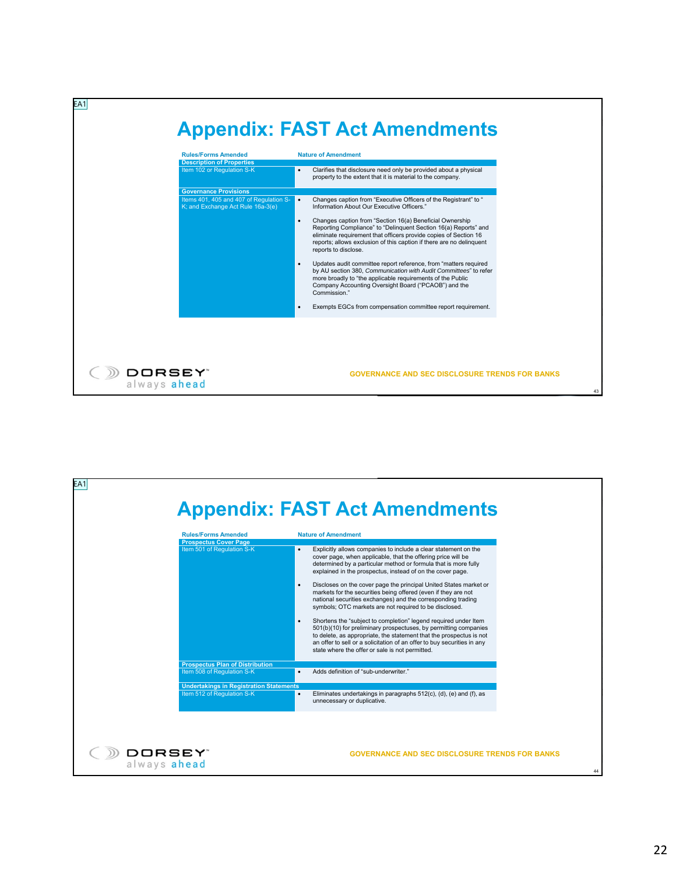| <b>Rules/Forms Amended</b><br><b>Description of Properties</b>                                               | <b>Nature of Amendment</b>                                                                                                                                                                                                                                                                                                                                                                                                                                                                                                                                                                                                                                                                                                                                                                |  |
|--------------------------------------------------------------------------------------------------------------|-------------------------------------------------------------------------------------------------------------------------------------------------------------------------------------------------------------------------------------------------------------------------------------------------------------------------------------------------------------------------------------------------------------------------------------------------------------------------------------------------------------------------------------------------------------------------------------------------------------------------------------------------------------------------------------------------------------------------------------------------------------------------------------------|--|
| Item 102 or Regulation S-K                                                                                   | Clarifies that disclosure need only be provided about a physical<br>$\bullet$<br>property to the extent that it is material to the company.                                                                                                                                                                                                                                                                                                                                                                                                                                                                                                                                                                                                                                               |  |
| <b>Governance Provisions</b><br>Items 401, 405 and 407 of Regulation S-<br>K; and Exchange Act Rule 16a-3(e) | Changes caption from "Executive Officers of the Registrant" to "<br>$\bullet$<br>Information About Our Executive Officers."<br>Changes caption from "Section 16(a) Beneficial Ownership<br>$\bullet$<br>Reporting Compliance" to "Delinquent Section 16(a) Reports" and<br>eliminate requirement that officers provide copies of Section 16<br>reports; allows exclusion of this caption if there are no delinquent<br>reports to disclose.<br>Updates audit committee report reference, from "matters required<br>by AU section 380, Communication with Audit Committees" to refer<br>more broadly to "the applicable requirements of the Public<br>Company Accounting Oversight Board ("PCAOB") and the<br>Commission."<br>Exempts EGCs from compensation committee report requirement. |  |
| DORSEY"<br>always ahead                                                                                      | <b>GOVERNANCE AND SEC DISCLOSURE TRENDS FOR BANKS</b>                                                                                                                                                                                                                                                                                                                                                                                                                                                                                                                                                                                                                                                                                                                                     |  |

| EA1                                                        | <b>Appendix: FAST Act Amendments</b>                                                                                                                                                                                                                                                                                                                                                                                                                                                                                                                                                                                                                                                                                                                                                                                                                                                       |
|------------------------------------------------------------|--------------------------------------------------------------------------------------------------------------------------------------------------------------------------------------------------------------------------------------------------------------------------------------------------------------------------------------------------------------------------------------------------------------------------------------------------------------------------------------------------------------------------------------------------------------------------------------------------------------------------------------------------------------------------------------------------------------------------------------------------------------------------------------------------------------------------------------------------------------------------------------------|
| <b>Rules/Forms Amended</b><br><b>Prospectus Cover Page</b> | <b>Nature of Amendment</b>                                                                                                                                                                                                                                                                                                                                                                                                                                                                                                                                                                                                                                                                                                                                                                                                                                                                 |
| Item 501 of Regulation S-K                                 | Explicitly allows companies to include a clear statement on the<br>cover page, when applicable, that the offering price will be<br>determined by a particular method or formula that is more fully<br>explained in the prospectus, instead of on the cover page.<br>Discloses on the cover page the principal United States market or<br>$\bullet$<br>markets for the securities being offered (even if they are not<br>national securities exchanges) and the corresponding trading<br>symbols; OTC markets are not required to be disclosed.<br>Shortens the "subject to completion" legend required under Item<br>501(b)(10) for preliminary prospectuses, by permitting companies<br>to delete, as appropriate, the statement that the prospectus is not<br>an offer to sell or a solicitation of an offer to buy securities in any<br>state where the offer or sale is not permitted. |
| <b>Prospectus Plan of Distribution</b>                     |                                                                                                                                                                                                                                                                                                                                                                                                                                                                                                                                                                                                                                                                                                                                                                                                                                                                                            |
| Item 508 of Regulation S-K                                 | Adds definition of "sub-underwriter."                                                                                                                                                                                                                                                                                                                                                                                                                                                                                                                                                                                                                                                                                                                                                                                                                                                      |
| <b>Undertakings in Registration Statements</b>             |                                                                                                                                                                                                                                                                                                                                                                                                                                                                                                                                                                                                                                                                                                                                                                                                                                                                                            |
| Item 512 of Regulation S-K                                 | Eliminates undertakings in paragraphs 512(c), (d), (e) and (f), as<br>unnecessary or duplicative.                                                                                                                                                                                                                                                                                                                                                                                                                                                                                                                                                                                                                                                                                                                                                                                          |
| DORSEY"<br>always ahead                                    | <b>GOVERNANCE AND SEC DISCLOSURE TRENDS FOR BANKS</b>                                                                                                                                                                                                                                                                                                                                                                                                                                                                                                                                                                                                                                                                                                                                                                                                                                      |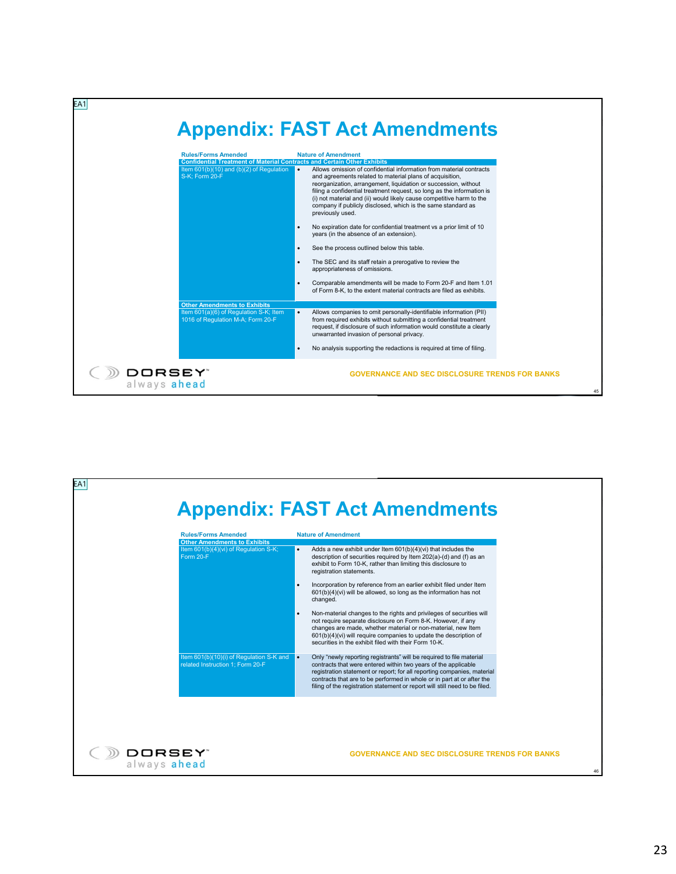